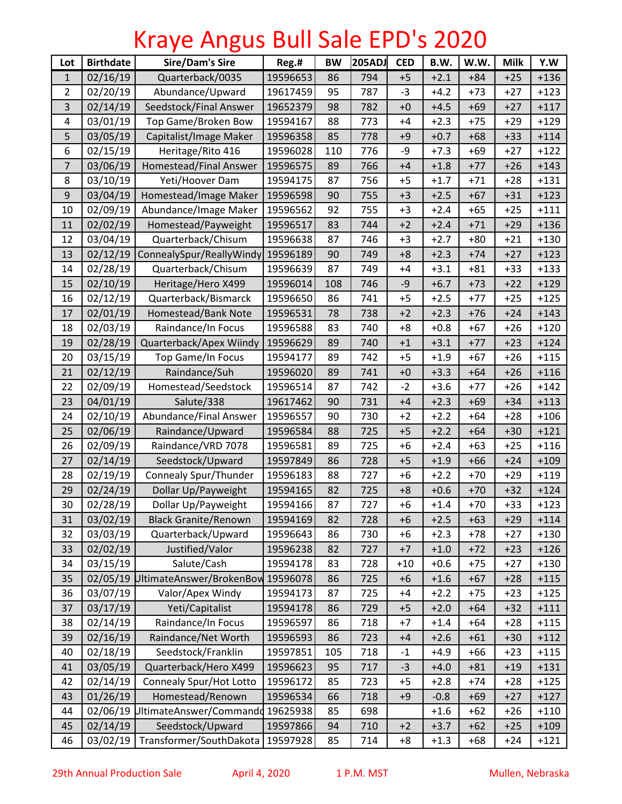## Kraye Angus Bull Sale EPD's 2020

| Lot            | <b>Birthdate</b> | <b>Sire/Dam's Sire</b>            | Reg.#    | <b>BW</b> | <b>205ADJ</b> | <b>CED</b> | B.W.   | W.W.  | <b>Milk</b> | Y.W    |
|----------------|------------------|-----------------------------------|----------|-----------|---------------|------------|--------|-------|-------------|--------|
| $\mathbf{1}$   | 02/16/19         | Quarterback/0035                  | 19596653 | 86        | 794           | $+5$       | $+2.1$ | $+84$ | $+25$       | $+136$ |
| $\overline{2}$ | 02/20/19         | Abundance/Upward                  | 19617459 | 95        | 787           | $-3$       | $+4.2$ | $+73$ | $+27$       | $+123$ |
| 3              | 02/14/19         | Seedstock/Final Answer            | 19652379 | 98        | 782           | $+0$       | $+4.5$ | $+69$ | $+27$       | $+117$ |
| 4              | 03/01/19         | Top Game/Broken Bow               | 19594167 | 88        | 773           | $+4$       | $+2.3$ | $+75$ | $+29$       | $+129$ |
| 5              | 03/05/19         | Capitalist/Image Maker            | 19596358 | 85        | 778           | $+9$       | $+0.7$ | $+68$ | $+33$       | $+114$ |
| 6              | 02/15/19         | Heritage/Rito 416                 | 19596028 | 110       | 776           | -9         | $+7.3$ | $+69$ | $+27$       | $+122$ |
| $\overline{7}$ | 03/06/19         | Homestead/Final Answer            | 19596575 | 89        | 766           | $+4$       | $+1.8$ | $+77$ | $+26$       | $+143$ |
| 8              | 03/10/19         | Yeti/Hoover Dam                   | 19594175 | 87        | 756           | $+5$       | $+1.7$ | $+71$ | $+28$       | $+131$ |
| 9              | 03/04/19         | Homestead/Image Maker             | 19596598 | 90        | 755           | $+3$       | $+2.5$ | $+67$ | $+31$       | $+123$ |
| 10             | 02/09/19         | Abundance/Image Maker             | 19596562 | 92        | 755           | $+3$       | $+2.4$ | $+65$ | $+25$       | $+111$ |
| 11             | 02/02/19         | Homestead/Payweight               | 19596517 | 83        | 744           | $+2$       | $+2.4$ | $+71$ | $+29$       | $+136$ |
| 12             | 03/04/19         | Quarterback/Chisum                | 19596638 | 87        | 746           | $+3$       | $+2.7$ | $+80$ | $+21$       | $+130$ |
| 13             | 02/12/19         | ConnealySpur/ReallyWindy          | 19596189 | 90        | 749           | $+8$       | $+2.3$ | $+74$ | $+27$       | $+123$ |
| 14             | 02/28/19         | Quarterback/Chisum                | 19596639 | 87        | 749           | $+4$       | $+3.1$ | $+81$ | $+33$       | $+133$ |
| 15             | 02/10/19         | Heritage/Hero X499                | 19596014 | 108       | 746           | -9         | $+6.7$ | $+73$ | $+22$       | $+129$ |
| 16             | 02/12/19         | Quarterback/Bismarck              | 19596650 | 86        | 741           | $+5$       | $+2.5$ | $+77$ | $+25$       | $+125$ |
| 17             | 02/01/19         | Homestead/Bank Note               | 19596531 | 78        | 738           | $+2$       | $+2.3$ | $+76$ | $+24$       | $+143$ |
| 18             | 02/03/19         | Raindance/In Focus                | 19596588 | 83        | 740           | $+8$       | $+0.8$ | $+67$ | $+26$       | $+120$ |
| 19             | 02/28/19         | Quarterback/Apex Wiindy           | 19596629 | 89        | 740           | $+1$       | $+3.1$ | $+77$ | $+23$       | $+124$ |
| 20             | 03/15/19         | Top Game/In Focus                 | 19594177 | 89        | 742           | $+5$       | $+1.9$ | $+67$ | $+26$       | $+115$ |
| 21             | 02/12/19         | Raindance/Suh                     | 19596020 | 89        | 741           | $+0$       | $+3.3$ | $+64$ | $+26$       | $+116$ |
| 22             | 02/09/19         | Homestead/Seedstock               | 19596514 | 87        | 742           | $-2$       | $+3.6$ | $+77$ | $+26$       | $+142$ |
| 23             | 04/01/19         | Salute/338                        | 19617462 | 90        | 731           | $+4$       | $+2.3$ | $+69$ | $+34$       | $+113$ |
| 24             | 02/10/19         | Abundance/Final Answer            | 19596557 | 90        | 730           | $+2$       | $+2.2$ | $+64$ | $+28$       | $+106$ |
| 25             | 02/06/19         | Raindance/Upward                  | 19596584 | 88        | 725           | $+5$       | $+2.2$ | $+64$ | $+30$       | $+121$ |
| 26             | 02/09/19         | Raindance/VRD 7078                | 19596581 | 89        | 725           | $+6$       | $+2.4$ | $+63$ | $+25$       | $+116$ |
| 27             | 02/14/19         | Seedstock/Upward                  | 19597849 | 86        | 728           | $+5$       | $+1.9$ | $+66$ | $+24$       | $+109$ |
| 28             | 02/19/19         | <b>Connealy Spur/Thunder</b>      | 19596183 | 88        | 727           | $+6$       | $+2.2$ | $+70$ | $+29$       | $+119$ |
| 29             | 02/24/19         | Dollar Up/Payweight               | 19594165 | 82        | 725           | $+8$       | $+0.6$ | $+70$ | $+32$       | $+124$ |
| 30             | 02/28/19         | Dollar Up/Payweight               | 19594166 | 87        | 727           | $+6$       | $+1.4$ | $+70$ | $+33$       | $+123$ |
| 31             | 03/02/19         | <b>Black Granite/Renown</b>       | 19594169 | 82        | 728           | $+6$       | $+2.5$ | $+63$ | $+29$       | $+114$ |
| 32             | 03/03/19         | Quarterback/Upward                | 19596643 | 86        | 730           | $+6$       | $+2.3$ | $+78$ | $+27$       | $+130$ |
| 33             | 02/02/19         | Justified/Valor                   | 19596238 | 82        | 727           | $+7$       | $+1.0$ | $+72$ | $+23$       | $+126$ |
| 34             | 03/15/19         | Salute/Cash                       | 19594178 | 83        | 728           | $+10$      | $+0.6$ | $+75$ | $+27$       | $+130$ |
| 35             |                  | 02/05/19 UltimateAnswer/BrokenBow | 19596078 | 86        | 725           | $+6$       | $+1.6$ | $+67$ | $+28$       | $+115$ |
| 36             | 03/07/19         | Valor/Apex Windy                  | 19594173 | 87        | 725           | $+4$       | $+2.2$ | $+75$ | $+23$       | $+125$ |
| 37             | 03/17/19         | Yeti/Capitalist                   | 19594178 | 86        | 729           | $+5$       | $+2.0$ | $+64$ | $+32$       | $+111$ |
| 38             | 02/14/19         | Raindance/In Focus                | 19596597 | 86        | 718           | $+7$       | $+1.4$ | $+64$ | $+28$       | $+115$ |
| 39             | 02/16/19         | Raindance/Net Worth               | 19596593 | 86        | 723           | $+4$       | $+2.6$ | $+61$ | $+30$       | $+112$ |
| 40             | 02/18/19         | Seedstock/Franklin                | 19597851 | 105       | 718           | $-1$       | $+4.9$ | $+66$ | $+23$       | $+115$ |
| 41             | 03/05/19         | Quarterback/Hero X499             | 19596623 | 95        | 717           | $-3$       | $+4.0$ | $+81$ | $+19$       | $+131$ |
| 42             | 02/14/19         | Connealy Spur/Hot Lotto           | 19596172 | 85        | 723           | $+5$       | $+2.8$ | $+74$ | $+28$       | $+125$ |
| 43             | 01/26/19         | Homestead/Renown                  | 19596534 | 66        | 718           | $+9$       | $-0.8$ | $+69$ | $+27$       | $+127$ |
| 44             | 02/06/19         | UltimateAnswer/Commandd 19625938  |          | 85        | 698           |            | $+1.6$ | $+62$ | $+26$       | $+110$ |
| 45             | 02/14/19         | Seedstock/Upward                  | 19597866 | 94        | 710           | $+2$       | $+3.7$ | $+62$ | $+25$       | $+109$ |
| 46             | 03/02/19         | Transformer/SouthDakota           | 19597928 | 85        | 714           | $+8$       | $+1.3$ | $+68$ | $+24$       | $+121$ |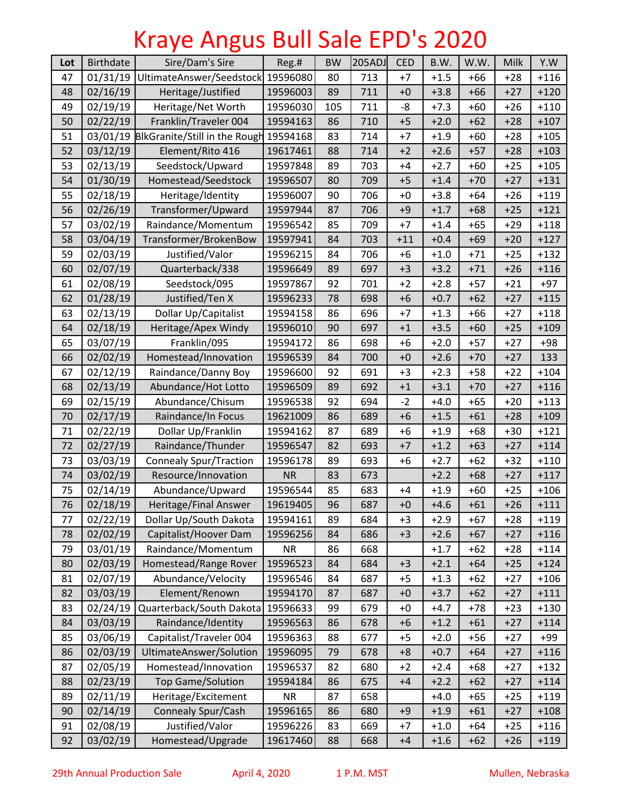## Kraye Angus Bull Sale EPD's 2020

| Lot | <b>Birthdate</b> | Sire/Dam's Sire                        | Reg.#     | <b>BW</b> | 205ADJ | <b>CED</b> | B.W.   | W.W.  | Milk  | Y.W    |
|-----|------------------|----------------------------------------|-----------|-----------|--------|------------|--------|-------|-------|--------|
| 47  | 01/31/19         | UltimateAnswer/Seedstock               | 19596080  | 80        | 713    | $+7$       | $+1.5$ | $+66$ | $+28$ | $+116$ |
| 48  | 02/16/19         | Heritage/Justified                     | 19596003  | 89        | 711    | $+0$       | $+3.8$ | $+66$ | $+27$ | $+120$ |
| 49  | 02/19/19         | Heritage/Net Worth                     | 19596030  | 105       | 711    | -8         | $+7.3$ | $+60$ | $+26$ | $+110$ |
| 50  | 02/22/19         | Franklin/Traveler 004                  | 19594163  | 86        | 710    | $+5$       | $+2.0$ | $+62$ | $+28$ | $+107$ |
| 51  |                  | 03/01/19 BlkGranite/Still in the Rough | 19594168  | 83        | 714    | $+7$       | $+1.9$ | $+60$ | $+28$ | $+105$ |
| 52  | 03/12/19         | Element/Rito 416                       | 19617461  | 88        | 714    | $+2$       | $+2.6$ | $+57$ | $+28$ | $+103$ |
| 53  | 02/13/19         | Seedstock/Upward                       | 19597848  | 89        | 703    | $+4$       | $+2.7$ | $+60$ | $+25$ | $+105$ |
| 54  | 01/30/19         | Homestead/Seedstock                    | 19596507  | 80        | 709    | $+5$       | $+1.4$ | $+70$ | $+27$ | $+131$ |
| 55  | 02/18/19         | Heritage/Identity                      | 19596007  | 90        | 706    | $+0$       | $+3.8$ | $+64$ | $+26$ | $+119$ |
| 56  | 02/26/19         | Transformer/Upward                     | 19597944  | 87        | 706    | $+9$       | $+1.7$ | $+68$ | $+25$ | $+121$ |
| 57  | 03/02/19         | Raindance/Momentum                     | 19596542  | 85        | 709    | $+7$       | $+1.4$ | $+65$ | $+29$ | $+118$ |
| 58  | 03/04/19         | Transformer/BrokenBow                  | 19597941  | 84        | 703    | $+11$      | $+0.4$ | $+69$ | $+20$ | $+127$ |
| 59  | 02/03/19         | Justified/Valor                        | 19596215  | 84        | 706    | $+6$       | $+1.0$ | $+71$ | $+25$ | $+132$ |
| 60  | 02/07/19         | Quarterback/338                        | 19596649  | 89        | 697    | $+3$       | $+3.2$ | $+71$ | $+26$ | $+116$ |
| 61  | 02/08/19         | Seedstock/095                          | 19597867  | 92        | 701    | $+2$       | $+2.8$ | $+57$ | $+21$ | $+97$  |
| 62  | 01/28/19         | Justified/Ten X                        | 19596233  | 78        | 698    | $+6$       | $+0.7$ | $+62$ | $+27$ | $+115$ |
| 63  | 02/13/19         | Dollar Up/Capitalist                   | 19594158  | 86        | 696    | $+7$       | $+1.3$ | $+66$ | $+27$ | $+118$ |
| 64  | 02/18/19         | Heritage/Apex Windy                    | 19596010  | 90        | 697    | $+1$       | $+3.5$ | $+60$ | $+25$ | $+109$ |
| 65  | 03/07/19         | Franklin/095                           | 19594172  | 86        | 698    | $+6$       | $+2.0$ | $+57$ | $+27$ | $+98$  |
| 66  | 02/02/19         | Homestead/Innovation                   | 19596539  | 84        | 700    | $+0$       | $+2.6$ | $+70$ | $+27$ | 133    |
| 67  | 02/12/19         | Raindance/Danny Boy                    | 19596600  | 92        | 691    | $+3$       | $+2.3$ | $+58$ | $+22$ | $+104$ |
| 68  | 02/13/19         | Abundance/Hot Lotto                    | 19596509  | 89        | 692    | $+1$       | $+3.1$ | $+70$ | $+27$ | $+116$ |
| 69  | 02/15/19         | Abundance/Chisum                       | 19596538  | 92        | 694    | $-2$       | $+4.0$ | $+65$ | $+20$ | $+113$ |
| 70  | 02/17/19         | Raindance/In Focus                     | 19621009  | 86        | 689    | $+6$       | $+1.5$ | $+61$ | $+28$ | $+109$ |
| 71  | 02/22/19         | Dollar Up/Franklin                     | 19594162  | 87        | 689    | $+6$       | $+1.9$ | $+68$ | $+30$ | $+121$ |
| 72  | 02/27/19         | Raindance/Thunder                      | 19596547  | 82        | 693    | $+7$       | $+1.2$ | $+63$ | $+27$ | $+114$ |
| 73  | 03/03/19         | <b>Connealy Spur/Traction</b>          | 19596178  | 89        | 693    | $+6$       | $+2.7$ | $+62$ | $+32$ | $+110$ |
| 74  | 03/02/19         | Resource/Innovation                    | <b>NR</b> | 83        | 673    |            | $+2.2$ | $+68$ | $+27$ | $+117$ |
| 75  | 02/14/19         | Abundance/Upward                       | 19596544  | 85        | 683    | $+4$       | $+1.9$ | $+60$ | $+25$ | $+106$ |
| 76  | 02/18/19         | Heritage/Final Answer                  | 19619405  | 96        | 687    | $+0$       | $+4.6$ | $+61$ | $+26$ | $+111$ |
| 77  | 02/22/19         | Dollar Up/South Dakota                 | 19594161  | 89        | 684    | $+3$       | $+2.9$ | $+67$ | $+28$ | $+119$ |
| 78  | 02/02/19         | Capitalist/Hoover Dam                  | 19596256  | 84        | 686    | $+3$       | $+2.6$ | $+67$ | $+27$ | $+116$ |
| 79  | 03/01/19         | Raindance/Momentum                     | <b>NR</b> | 86        | 668    |            | $+1.7$ | $+62$ | $+28$ | $+114$ |
| 80  | 02/03/19         | Homestead/Range Rover                  | 19596523  | 84        | 684    | $+3$       | $+2.1$ | $+64$ | $+25$ | $+124$ |
| 81  | 02/07/19         | Abundance/Velocity                     | 19596546  | 84        | 687    | $+5$       | $+1.3$ | +62   | $+27$ | $+106$ |
| 82  | 03/03/19         | Element/Renown                         | 19594170  | 87        | 687    | $+0$       | $+3.7$ | $+62$ | $+27$ | $+111$ |
| 83  | 02/24/19         | Quarterback/South Dakota               | 19596633  | 99        | 679    | $+0$       | $+4.7$ | $+78$ | $+23$ | $+130$ |
| 84  | 03/03/19         | Raindance/Identity                     | 19596563  | 86        | 678    | $+6$       | $+1.2$ | $+61$ | $+27$ | $+114$ |
| 85  | 03/06/19         | Capitalist/Traveler 004                | 19596363  | 88        | 677    | $+5$       | $+2.0$ | $+56$ | $+27$ | +99    |
| 86  | 02/03/19         | UltimateAnswer/Solution                | 19596095  | 79        | 678    | $+8$       | $+0.7$ | $+64$ | $+27$ | $+116$ |
| 87  | 02/05/19         | Homestead/Innovation                   | 19596537  | 82        | 680    | $+2$       | $+2.4$ | $+68$ | $+27$ | $+132$ |
| 88  | 02/23/19         | <b>Top Game/Solution</b>               | 19594184  | 86        | 675    | $+4$       | $+2.2$ | $+62$ | $+27$ | $+114$ |
| 89  | 02/11/19         | Heritage/Excitement                    | <b>NR</b> | 87        | 658    |            | $+4.0$ | $+65$ | $+25$ | $+119$ |
| 90  | 02/14/19         | Connealy Spur/Cash                     | 19596165  | 86        | 680    | $+9$       | $+1.9$ | $+61$ | $+27$ | $+108$ |
| 91  | 02/08/19         | Justified/Valor                        | 19596226  | 83        | 669    | $+7$       | $+1.0$ | $+64$ | $+25$ | $+116$ |
| 92  | 03/02/19         | Homestead/Upgrade                      | 19617460  | 88        | 668    | $+4$       | $+1.6$ | $+62$ | $+26$ | $+119$ |